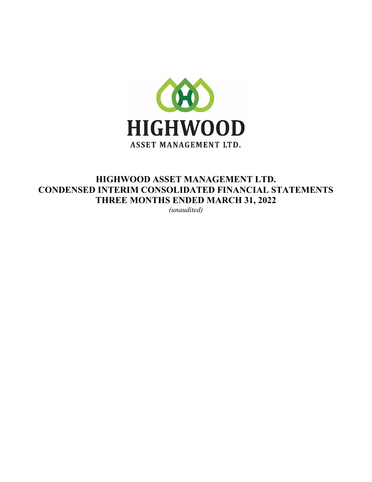

# HIGHWOOD ASSET MANAGEMENT LTD. CONDENSED INTERIM CONSOLIDATED FINANCIAL STATEMENTS THREE MONTHS ENDED MARCH 31, 2022

*(unaudited)*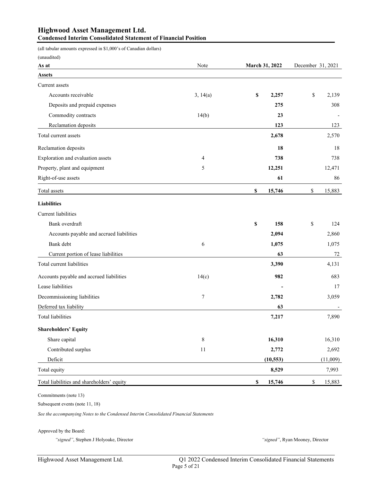## Highwood Asset Management Ltd. Condensed Interim Consolidated Statement of Financial Position

(all tabular amounts expressed in \$1,000's of Canadian dollars)

| (unaudited)                                |             |                       |                        |
|--------------------------------------------|-------------|-----------------------|------------------------|
| As at                                      | Note        | <b>March 31, 2022</b> | December 31, 2021      |
| <b>Assets</b>                              |             |                       |                        |
| Current assets                             |             |                       |                        |
| Accounts receivable                        | 3, 14(a)    | \$<br>2,257           | $\mathbb S$<br>2,139   |
| Deposits and prepaid expenses              |             | 275                   | 308                    |
| Commodity contracts                        | 14(b)       | 23                    |                        |
| Reclamation deposits                       |             | 123                   | 123                    |
| Total current assets                       |             | 2,678                 | 2,570                  |
| Reclamation deposits                       |             | 18                    | 18                     |
| Exploration and evaluation assets          | 4           | 738                   | 738                    |
| Property, plant and equipment              | 5           | 12,251                | 12,471                 |
| Right-of-use assets                        |             | 61                    | 86                     |
| Total assets                               |             | \$<br>15,746          | \$<br>15,883           |
| <b>Liabilities</b>                         |             |                       |                        |
| <b>Current</b> liabilities                 |             |                       |                        |
| Bank overdraft                             |             | \$<br>158             | \$<br>124              |
| Accounts payable and accrued liabilities   |             | 2,094                 | 2,860                  |
| Bank debt                                  | 6           | 1,075                 | 1,075                  |
| Current portion of lease liabilities       |             | 63                    | $72\,$                 |
| Total current liabilities                  |             | 3,390                 | 4,131                  |
| Accounts payable and accrued liabilities   | 14(c)       | 982                   | 683                    |
| Lease liabilities                          |             |                       | 17                     |
| Decommissioning liabilities                | 7           | 2,782                 | 3,059                  |
| Deferred tax liability                     |             | 63                    |                        |
| <b>Total liabilities</b>                   |             | 7,217                 | 7,890                  |
| <b>Shareholders' Equity</b>                |             |                       |                        |
| Share capital                              | $\,$ 8 $\,$ | 16,310                | 16,310                 |
| Contributed surplus                        | 11          | 2,772                 | 2,692                  |
| Deficit                                    |             | (10, 553)             | (11,009)               |
| Total equity                               |             | 8,529                 | 7,993                  |
| Total liabilities and shareholders' equity |             | \$<br>15,746          | $\mathbb{S}$<br>15,883 |

Commitments (note 13)

Subsequent events (note 11, 18)

*See the accompanying Notes to the Condensed Interim Consolidated Financial Statements*

Approved by the Board:

*"signed"*, Stephen J Holyoake, Director *"signed"*, Ryan Mooney, Director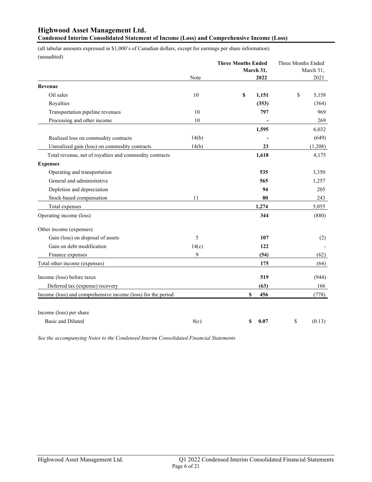# Highwood Asset Management Ltd.

Condensed Interim Consolidated Statement of Income (Loss) and Comprehensive Income (Loss)

(all tabular amounts expressed in \$1,000's of Canadian dollars, except for earnings per share information) (unaudited)

|                                                              |       | <b>Three Months Ended</b><br>March 31, | Three Months Ended<br>March 31, |
|--------------------------------------------------------------|-------|----------------------------------------|---------------------------------|
|                                                              | Note  | 2022                                   | 2021                            |
| Revenue                                                      |       |                                        |                                 |
| Oil sales                                                    | 10    | \$<br>1,151                            | \$<br>5,158                     |
| Royalties                                                    |       | (353)                                  | (364)                           |
| Transportation pipeline revenues                             | 10    | 797                                    | 969                             |
| Processing and other income                                  | 10    |                                        | 269                             |
|                                                              |       | 1,595                                  | 6,032                           |
| Realized loss on commodity contracts                         | 14(b) |                                        | (649)                           |
| Unrealized gain (loss) on commodity contracts                | 14(b) | 23                                     | (1,208)                         |
| Total revenue, net of royalties and commodity contracts      |       | 1,618                                  | 4,175                           |
| <b>Expenses</b>                                              |       |                                        |                                 |
| Operating and transportation                                 |       | 535                                    | 3,350                           |
| General and administrative                                   |       | 565                                    | 1,257                           |
| Depletion and depreciation                                   |       | 94                                     | 205                             |
| Stock-based compensation                                     | 11    | 80                                     | 243                             |
| Total expenses                                               |       | 1,274                                  | 5,055                           |
| Operating income (loss)                                      |       | 344                                    | (880)                           |
| Other income (expenses)                                      |       |                                        |                                 |
| Gain (loss) on disposal of assets                            | 5     | 107                                    | (2)                             |
| Gain on debt modification                                    | 14(c) | 122                                    |                                 |
| Finance expenses                                             | 9     | (54)                                   | (62)                            |
| Total other income (expenses)                                |       | 175                                    | (64)                            |
| Income (loss) before taxes                                   |       | 519                                    | (944)                           |
| Deferred tax (expense) recovery                              |       | (63)                                   | 166                             |
| Income (loss) and comprehensive income (loss) for the period |       | \$<br>456                              | (778)                           |
| Income (loss) per share                                      |       |                                        |                                 |
| <b>Basic and Diluted</b>                                     | 8(c)  | 0.07<br>\$                             | \$<br>(0.13)                    |

*See the accompanying Notes to the Condensed Interim Consolidated Financial Statements*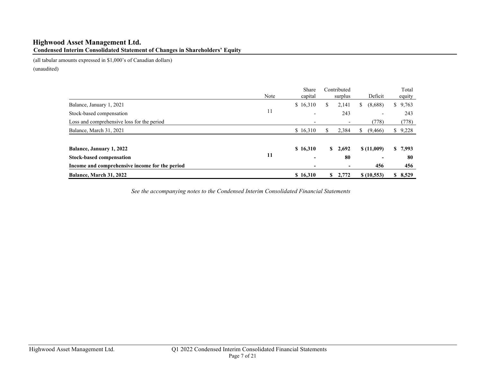# Highwood Asset Management Ltd. Condensed Interim Consolidated Statement of Changes in Shareholders' Equity

(all tabular amounts expressed in \$1,000's of Canadian dollars)

(unaudited)

|                                                | Note | Share<br>capital         |              | Contributed<br>surplus   | Deficit                  | Total<br>equity |
|------------------------------------------------|------|--------------------------|--------------|--------------------------|--------------------------|-----------------|
| Balance, January 1, 2021                       |      | \$16,310                 | S.           | 2,141                    | (8,688)<br>S.            | \$9,763         |
| Stock-based compensation                       | 11   | $\overline{\phantom{0}}$ |              | 243                      | $\overline{\phantom{a}}$ | 243             |
| Loss and comprehensive loss for the period     |      | $\overline{\phantom{a}}$ |              | $\overline{\phantom{a}}$ | (778)                    | (778)           |
| Balance, March 31, 2021                        |      | \$16,310                 | S            | 2,384                    | (9, 466)<br>S.           | \$9,228         |
| <b>Balance, January 1, 2022</b>                |      | \$16,310                 | $\mathbf{s}$ | 2,692                    | \$(11,009)               | \$7,993         |
| <b>Stock-based compensation</b>                | 11   | -                        |              | 80                       | $\overline{\phantom{0}}$ | 80              |
| Income and comprehensive income for the period |      |                          |              | $\blacksquare$           | 456                      | 456             |
| Balance, March 31, 2022                        |      | \$16,310                 | S.           | 2,772                    | \$(10,553)               | \$8,529         |

*See the accompanying notes to the Condensed Interim Consolidated Financial Statements*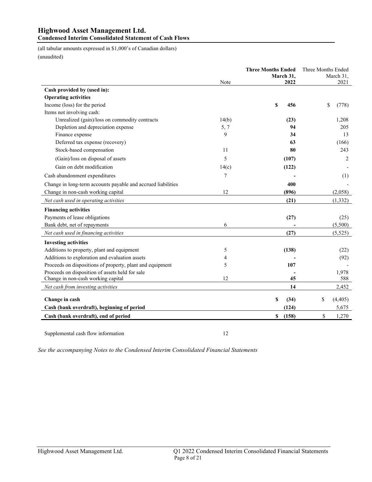# Highwood Asset Management Ltd.

# Condensed Interim Consolidated Statement of Cash Flows

(all tabular amounts expressed in \$1,000's of Canadian dollars)

(unaudited)

|                                                              |       | <b>Three Months Ended</b><br>March 31, | Three Months Ended<br>March 31, |  |  |
|--------------------------------------------------------------|-------|----------------------------------------|---------------------------------|--|--|
|                                                              | Note  |                                        |                                 |  |  |
| Cash provided by (used in):                                  |       |                                        |                                 |  |  |
| <b>Operating activities</b>                                  |       |                                        |                                 |  |  |
| Income (loss) for the period                                 |       | \$<br>456                              | \$<br>(778)                     |  |  |
| Items not involving cash:                                    |       |                                        |                                 |  |  |
| Unrealized (gain)/loss on commodity contracts                | 14(b) | (23)                                   | 1,208                           |  |  |
| Depletion and depreciation expense                           | 5, 7  | 94                                     | 205                             |  |  |
| Finance expense                                              | 9     | 34                                     | 13                              |  |  |
| Deferred tax expense (recovery)                              |       | 63                                     | (166)                           |  |  |
| Stock-based compensation                                     | 11    | 80                                     | 243                             |  |  |
| (Gain)/loss on disposal of assets                            | 5     | (107)                                  | $\overline{2}$                  |  |  |
| Gain on debt modification                                    | 14(c) | (122)                                  |                                 |  |  |
| Cash abandonment expenditures                                | 7     |                                        | (1)                             |  |  |
| Change in long-term accounts payable and accrued liabilities |       | 400                                    |                                 |  |  |
| Change in non-cash working capital                           | 12    | (896)                                  | (2,058)                         |  |  |
| Net cash used in operating activities                        |       | (21)                                   | (1, 332)                        |  |  |
| <b>Financing activities</b>                                  |       |                                        |                                 |  |  |
| Payments of lease obligations                                |       | (27)                                   | (25)                            |  |  |
| Bank debt, net of repayments                                 | 6     |                                        | (5,500)                         |  |  |
| Net cash used in financing activities                        |       | (27)                                   | (5, 525)                        |  |  |
| <b>Investing activities</b>                                  |       |                                        |                                 |  |  |
| Additions to property, plant and equipment                   | 5     | (138)                                  | (22)                            |  |  |
| Additions to exploration and evaluation assets               | 4     |                                        | (92)                            |  |  |
| Proceeds on dispositions of property, plant and equipment    | 5     | 107                                    |                                 |  |  |
| Proceeds on disposition of assets held for sale              |       |                                        | 1,978                           |  |  |
| Change in non-cash working capital                           | 12    | 45                                     | 588                             |  |  |
| Net cash from investing activities                           |       | 14                                     | 2,452                           |  |  |
| Change in cash                                               |       | \$<br>(34)                             | \$<br>(4, 405)                  |  |  |
| Cash (bank overdraft), beginning of period                   |       | (124)                                  | 5,675                           |  |  |
| Cash (bank overdraft), end of period                         |       | $\mathbf s$<br>(158)                   | \$<br>1,270                     |  |  |
|                                                              |       |                                        |                                 |  |  |

Supplemental cash flow information 12

*See the accompanying Notes to the Condensed Interim Consolidated Financial Statements*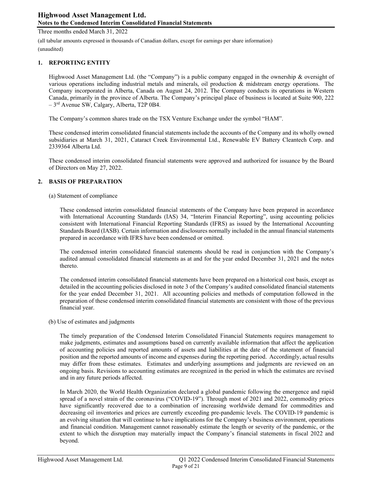(all tabular amounts expressed in thousands of Canadian dollars, except for earnings per share information)

(unaudited)

#### 1. REPORTING ENTITY

Highwood Asset Management Ltd. (the "Company") is a public company engaged in the ownership & oversight of various operations including industrial metals and minerals, oil production & midstream energy operations. The Company incorporated in Alberta, Canada on August 24, 2012. The Company conducts its operations in Western Canada, primarily in the province of Alberta. The Company's principal place of business is located at Suite 900, 222 – 3rd Avenue SW, Calgary, Alberta, T2P 0B4.

The Company's common shares trade on the TSX Venture Exchange under the symbol "HAM".

These condensed interim consolidated financial statements include the accounts of the Company and its wholly owned subsidiaries at March 31, 2021, Cataract Creek Environmental Ltd., Renewable EV Battery Cleantech Corp. and 2339364 Alberta Ltd.

These condensed interim consolidated financial statements were approved and authorized for issuance by the Board of Directors on May 27, 2022.

#### 2. BASIS OF PREPARATION

#### (a) Statement of compliance

These condensed interim consolidated financial statements of the Company have been prepared in accordance with International Accounting Standards (IAS) 34, "Interim Financial Reporting", using accounting policies consistent with International Financial Reporting Standards (IFRS) as issued by the International Accounting Standards Board (IASB). Certain information and disclosures normally included in the annual financial statements prepared in accordance with IFRS have been condensed or omitted.

The condensed interim consolidated financial statements should be read in conjunction with the Company's audited annual consolidated financial statements as at and for the year ended December 31, 2021 and the notes thereto.

The condensed interim consolidated financial statements have been prepared on a historical cost basis, except as detailed in the accounting policies disclosed in note 3 of the Company's audited consolidated financial statements for the year ended December 31, 2021. All accounting policies and methods of computation followed in the preparation of these condensed interim consolidated financial statements are consistent with those of the previous financial year.

#### (b) Use of estimates and judgments

The timely preparation of the Condensed Interim Consolidated Financial Statements requires management to make judgments, estimates and assumptions based on currently available information that affect the application of accounting policies and reported amounts of assets and liabilities at the date of the statement of financial position and the reported amounts of income and expenses during the reporting period. Accordingly, actual results may differ from these estimates. Estimates and underlying assumptions and judgments are reviewed on an ongoing basis. Revisions to accounting estimates are recognized in the period in which the estimates are revised and in any future periods affected.

In March 2020, the World Health Organization declared a global pandemic following the emergence and rapid spread of a novel strain of the coronavirus ("COVID-19"). Through most of 2021 and 2022, commodity prices have significantly recovered due to a combination of increasing worldwide demand for commodities and decreasing oil inventories and prices are currently exceeding pre-pandemic levels. The COVID-19 pandemic is an evolving situation that will continue to have implications for the Company's business environment, operations and financial condition. Management cannot reasonably estimate the length or severity of the pandemic, or the extent to which the disruption may materially impact the Company's financial statements in fiscal 2022 and beyond.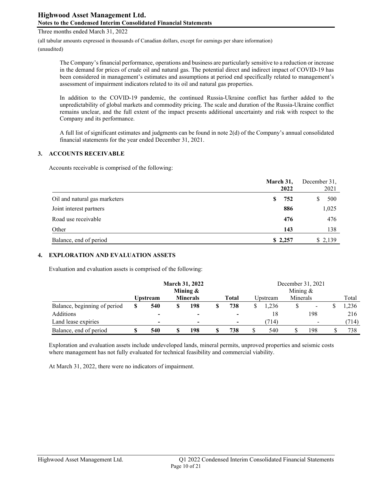Three months ended March 31, 2022

(all tabular amounts expressed in thousands of Canadian dollars, except for earnings per share information)

(unaudited)

The Company's financial performance, operations and business are particularly sensitive to a reduction or increase in the demand for prices of crude oil and natural gas. The potential direct and indirect impact of COVID-19 has been considered in management's estimates and assumptions at period end specifically related to management's assessment of impairment indicators related to its oil and natural gas properties.

In addition to the COVID-19 pandemic, the continued Russia-Ukraine conflict has further added to the unpredictability of global markets and commodity pricing. The scale and duration of the Russia-Ukraine conflict remains unclear, and the full extent of the impact presents additional uncertainty and risk with respect to the Company and its performance.

A full list of significant estimates and judgments can be found in note 2(d) of the Company's annual consolidated financial statements for the year ended December 31, 2021.

## 3. ACCOUNTS RECEIVABLE

Accounts receivable is comprised of the following:

|                               |   | March 31,<br>2022 | December 31,<br>2021 |         |  |
|-------------------------------|---|-------------------|----------------------|---------|--|
| Oil and natural gas marketers | S | 752               |                      | 500     |  |
| Joint interest partners       |   | 886               |                      | 1,025   |  |
| Road use receivable           |   | 476               |                      | 476     |  |
| Other                         |   | 143               |                      | 138     |  |
| Balance, end of period        |   | \$2,257           |                      | \$2,139 |  |

## 4. EXPLORATION AND EVALUATION ASSETS

Evaluation and evaluation assets is comprised of the following:

|                              |   | <b>March 31, 2022</b> |  |                 |    |              |  |          | December 31, 2021 |                |  |       |
|------------------------------|---|-----------------------|--|-----------------|----|--------------|--|----------|-------------------|----------------|--|-------|
|                              |   | Mining $\&$           |  |                 |    | Mining $&$   |  |          |                   |                |  |       |
|                              |   | <b>Upstream</b>       |  | <b>Minerals</b> |    | <b>Total</b> |  | Upstream | Minerals          |                |  | Total |
| Balance, beginning of period | S | 540                   |  | 198             | \$ | 738          |  | 1.236    |                   |                |  | 1,236 |
| Additions                    |   |                       |  |                 |    |              |  | 18       |                   | 198            |  | 216   |
| Land lease expiries          |   |                       |  |                 |    |              |  | (714)    |                   | $\blacksquare$ |  | (714) |
| Balance, end of period       | S | 540                   |  | 198             | S  | 738          |  | 540      |                   | 198            |  | 738   |

Exploration and evaluation assets include undeveloped lands, mineral permits, unproved properties and seismic costs where management has not fully evaluated for technical feasibility and commercial viability.

At March 31, 2022, there were no indicators of impairment.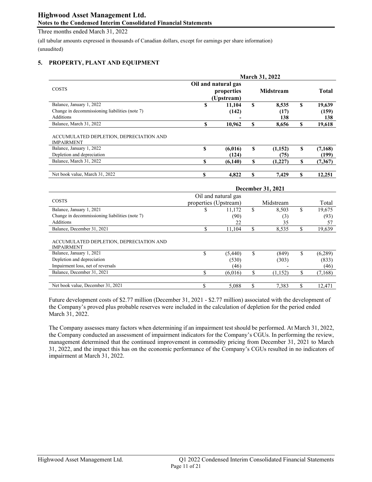(all tabular amounts expressed in thousands of Canadian dollars, except for earnings per share information) (unaudited)

### 5. PROPERTY, PLANT AND EQUIPMENT

|                                                              | <b>March 31, 2022</b> |                                                 |    |                   |    |              |  |  |  |
|--------------------------------------------------------------|-----------------------|-------------------------------------------------|----|-------------------|----|--------------|--|--|--|
| COSTS                                                        |                       | Oil and natural gas<br>properties<br>(Upstream) |    | <b>Midstream</b>  |    | <b>Total</b> |  |  |  |
| Balance, January 1, 2022                                     | S                     | 11,104                                          | S  | 8,535             | S  | 19,639       |  |  |  |
| Change in decommissioning liabilities (note 7)               |                       | (142)                                           |    | (17)              |    | (159)        |  |  |  |
| <b>Additions</b>                                             |                       |                                                 |    | 138               |    | 138          |  |  |  |
| Balance, March 31, 2022                                      | \$                    | 10,962                                          | \$ | 8,656             | S  | 19,618       |  |  |  |
| ACCUMULATED DEPLETION, DEPRECIATION AND<br><b>IMPAIRMENT</b> |                       |                                                 |    |                   |    |              |  |  |  |
| Balance, January 1, 2022                                     | S                     | (6,016)                                         | \$ | (1,152)           | \$ | (7,168)      |  |  |  |
| Depletion and depreciation                                   |                       | (124)                                           |    | (75)              |    | (199)        |  |  |  |
| Balance, March 31, 2022                                      | \$                    | (6,140)                                         | S  | (1,227)           | S  | (7,367)      |  |  |  |
| Net book value, March 31, 2022                               | \$                    | 4,822                                           | S  | 7,429             | S  | 12,251       |  |  |  |
|                                                              |                       |                                                 |    | December 21, 2021 |    |              |  |  |  |

|                                                              |                       |                     | December 31, 2021 |               |
|--------------------------------------------------------------|-----------------------|---------------------|-------------------|---------------|
|                                                              |                       | Oil and natural gas |                   |               |
| <b>COSTS</b>                                                 | properties (Upstream) |                     | Midstream         | Total         |
| Balance, January 1, 2021                                     | \$                    | 11.172              | \$<br>8,503       | \$<br>19,675  |
| Change in decommissioning liabilities (note 7)               |                       | (90)                | (3)               | (93)          |
| <b>Additions</b>                                             |                       | 22                  | 35                | 57            |
| Balance, December 31, 2021                                   |                       | 11.104              | \$<br>8,535       | \$<br>19,639  |
| ACCUMULATED DEPLETION, DEPRECIATION AND<br><b>IMPAIRMENT</b> |                       |                     |                   |               |
| Balance, January 1, 2021                                     | \$                    | (5,440)             | \$<br>(849)       | \$<br>(6,289) |
| Depletion and depreciation                                   |                       | (530)               | (303)             | (833)         |
| Impairment loss, net of reversals                            |                       | (46)                |                   | (46)          |
| Balance, December 31, 2021                                   | \$                    | (6,016)             | \$<br>(1,152)     | \$<br>(7,168) |
| Net book value, December 31, 2021                            | \$                    | 5.088               | 7.383             | \$<br>12,471  |

Future development costs of \$2.77 million (December 31, 2021 - \$2.77 million) associated with the development of the Company's proved plus probable reserves were included in the calculation of depletion for the period ended March 31, 2022.

The Company assesses many factors when determining if an impairment test should be performed. At March 31, 2022, the Company conducted an assessment of impairment indicators for the Company's CGUs. In performing the review, management determined that the continued improvement in commodity pricing from December 31, 2021 to March 31, 2022, and the impact this has on the economic performance of the Company's CGUs resulted in no indicators of impairment at March 31, 2022.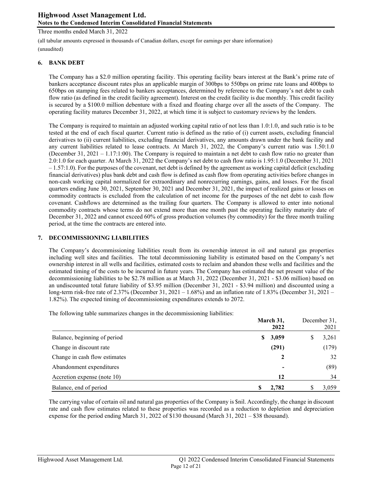Three months ended March 31, 2022

(all tabular amounts expressed in thousands of Canadian dollars, except for earnings per share information)

(unaudited)

## 6. BANK DEBT

The Company has a \$2.0 million operating facility. This operating facility bears interest at the Bank's prime rate of bankers acceptance discount rates plus an applicable margin of 300bps to 550bps on prime rate loans and 400bps to 650bps on stamping fees related to bankers acceptances, determined by reference to the Company's net debt to cash flow ratio (as defined in the credit facility agreement). Interest on the credit facility is due monthly. This credit facility is secured by a \$100.0 million debenture with a fixed and floating charge over all the assets of the Company. The operating facility matures December 31, 2022, at which time it is subject to customary reviews by the lenders.

The Company is required to maintain an adjusted working capital ratio of not less than 1.0:1.0, and such ratio is to be tested at the end of each fiscal quarter. Current ratio is defined as the ratio of (i) current assets, excluding financial derivatives to (ii) current liabilities, excluding financial derivatives, any amounts drawn under the bank facility and any current liabilities related to lease contracts. At March 31, 2022, the Company's current ratio was 1.50:1.0 (December 31, 2021 – 1.17:1:00). The Company is required to maintain a net debt to cash flow ratio no greater than 2.0:1.0 for each quarter. At March 31, 2022 the Company's net debt to cash flow ratio is 1.95:1.0 (December 31, 2021  $-1.57:1.0$ ). For the purposes of the covenant, net debt is defined by the agreement as working capital deficit (excluding financial derivatives) plus bank debt and cash flow is defined as cash flow from operating activities before changes in non-cash working capital normalized for extraordinary and nonrecurring earnings, gains, and losses. For the fiscal quarters ending June 30, 2021, September 30, 2021 and December 31, 2021, the impact of realized gains or losses on commodity contracts is excluded from the calculation of net income for the purposes of the net debt to cash flow covenant. Cashflows are determined as the trailing four quarters. The Company is allowed to enter into notional commodity contracts whose terms do not extend more than one month past the operating facility maturity date of December 31, 2022 and cannot exceed 60% of gross production volumes (by commodity) for the three month trailing period, at the time the contracts are entered into.

# 7. DECOMMISSIONING LIABILITIES

The Company's decommissioning liabilities result from its ownership interest in oil and natural gas properties including well sites and facilities. The total decommissioning liability is estimated based on the Company's net ownership interest in all wells and facilities, estimated costs to reclaim and abandon these wells and facilities and the estimated timing of the costs to be incurred in future years. The Company has estimated the net present value of the decommissioning liabilities to be \$2.78 million as at March 31, 2022 (December 31, 2021 - \$3.06 million) based on an undiscounted total future liability of \$3.95 million (December 31, 2021 - \$3.94 million) and discounted using a long-term risk-free rate of 2.37% (December 31, 2021 – 1.68%) and an inflation rate of 1.83% (December 31, 2021 – 1.82%). The expected timing of decommissioning expenditures extends to 2072.

The following table summarizes changes in the decommissioning liabilities:

|                               | March 31,   |  | December 31, |
|-------------------------------|-------------|--|--------------|
|                               | 2022        |  | 2021         |
| Balance, beginning of period  | 3,059<br>S. |  | 3,261        |
| Change in discount rate       | (291)       |  | (179)        |
| Change in cash flow estimates | 2           |  | 32           |
| Abandonment expenditures      |             |  | (89)         |
| Accretion expense (note 10)   | 12          |  | 34           |
| Balance, end of period        | 2.782       |  | 3,059        |

The carrying value of certain oil and natural gas properties of the Company is \$nil. Accordingly, the change in discount rate and cash flow estimates related to these properties was recorded as a reduction to depletion and depreciation expense for the period ending March 31, 2022 of \$130 thousand (March 31, 2021 – \$38 thousand).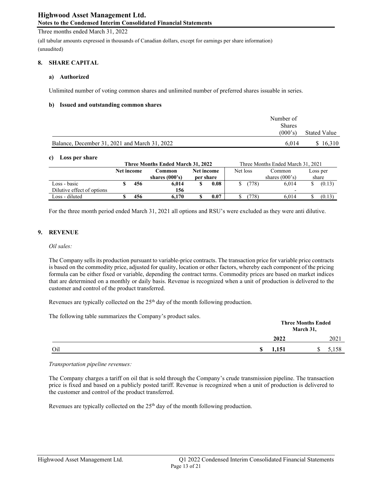#### Three months ended March 31, 2022

(all tabular amounts expressed in thousands of Canadian dollars, except for earnings per share information) (unaudited)

#### 8. SHARE CAPITAL

#### a) Authorized

Unlimited number of voting common shares and unlimited number of preferred shares issuable in series.

#### b) Issued and outstanding common shares

|                                               | Number of     |              |
|-----------------------------------------------|---------------|--------------|
|                                               | <b>Shares</b> |              |
|                                               | (000's)       | Stated Value |
| Balance, December 31, 2021 and March 31, 2022 | 6.014         | \$16.310     |

#### c) Loss per share

| Three Months Ended March 31, 2022 |            |     |                  |            |      |          |                  | Three Months Ended March 31, 2021 |          |
|-----------------------------------|------------|-----|------------------|------------|------|----------|------------------|-----------------------------------|----------|
|                                   | Net income |     | Common           | Net income |      | Net loss |                  | Common                            | Loss per |
|                                   |            |     | shares $(000's)$ | per share  |      |          |                  | shares $(000's)$                  | share    |
| Loss - basic                      |            | 456 | 6.014            |            | 0.08 |          | (778)            | 6.014                             | (0.13)   |
| Dilutive effect of options        |            |     | 156              |            |      |          |                  |                                   |          |
| Loss - diluted                    |            | 456 | 6.170            |            | 0.07 |          | 778 <sub>1</sub> | 6.014                             | (0.13)   |

For the three month period ended March 31, 2021 all options and RSU's were excluded as they were anti dilutive.

#### 9. REVENUE

#### *Oil sales:*

The Company sells its production pursuant to variable-price contracts. The transaction price for variable price contracts is based on the commodity price, adjusted for quality, location or other factors, whereby each component of the pricing formula can be either fixed or variable, depending the contract terms. Commodity prices are based on market indices that are determined on a monthly or daily basis. Revenue is recognized when a unit of production is delivered to the customer and control of the product transferred.

Revenues are typically collected on the 25<sup>th</sup> day of the month following production.

The following table summarizes the Company's product sales.

| $\tilde{\phantom{a}}$ | .          | <b>Three Months Ended</b><br>March 31, |  |
|-----------------------|------------|----------------------------------------|--|
|                       | 2022       | 2021                                   |  |
| Oil                   | 1,151<br>S | 5,158<br>D                             |  |

#### *Transportation pipeline revenues:*

The Company charges a tariff on oil that is sold through the Company's crude transmission pipeline. The transaction price is fixed and based on a publicly posted tariff. Revenue is recognized when a unit of production is delivered to the customer and control of the product transferred.

Revenues are typically collected on the 25<sup>th</sup> day of the month following production.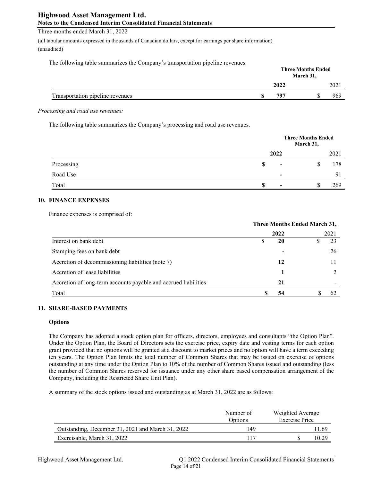## Three months ended March 31, 2022

(all tabular amounts expressed in thousands of Canadian dollars, except for earnings per share information) (unaudited)

The following table summarizes the Company's transportation pipeline revenues.

|                                  |      | <b>Three Months Ended</b><br>March 31, |     |
|----------------------------------|------|----------------------------------------|-----|
|                                  | 2022 |                                        | 202 |
| Transportation pipeline revenues | 797  |                                        | 969 |

*Processing and road use revenues:*

The following table summarizes the Company's processing and road use revenues.

|            |    |                          | <b>Three Months Ended</b><br>March 31, |      |
|------------|----|--------------------------|----------------------------------------|------|
|            |    | 2022                     |                                        | 2021 |
| Processing | \$ | $\,$                     | Φ<br>J                                 | 178  |
| Road Use   |    | $\overline{\phantom{0}}$ |                                        | 91   |
| Total      | S  | $\overline{\phantom{0}}$ | ¢<br>D                                 | 269  |

## 10. FINANCE EXPENSES

Finance expenses is comprised of:

|                                                                 | Three Months Ended March 31, |      |  |      |  |
|-----------------------------------------------------------------|------------------------------|------|--|------|--|
|                                                                 |                              | 2022 |  | 2021 |  |
| Interest on bank debt                                           |                              | 20   |  | 23   |  |
| Stamping fees on bank debt                                      |                              |      |  | 26   |  |
| Accretion of decommissioning liabilities (note 7)               |                              | 12   |  |      |  |
| Accretion of lease liabilities                                  |                              |      |  |      |  |
| Accretion of long-term accounts payable and accrued liabilities |                              | 21   |  |      |  |
| Total                                                           |                              | 54   |  |      |  |

## 11. SHARE-BASED PAYMENTS

#### **Options**

The Company has adopted a stock option plan for officers, directors, employees and consultants "the Option Plan". Under the Option Plan, the Board of Directors sets the exercise price, expiry date and vesting terms for each option grant provided that no options will be granted at a discount to market prices and no option will have a term exceeding ten years. The Option Plan limits the total number of Common Shares that may be issued on exercise of options outstanding at any time under the Option Plan to 10% of the number of Common Shares issued and outstanding (less the number of Common Shares reserved for issuance under any other share based compensation arrangement of the Company, including the Restricted Share Unit Plan).

A summary of the stock options issued and outstanding as at March 31, 2022 are as follows:

|                                                   | Number of<br>Options | Weighted Average<br><b>Exercise Price</b> |
|---------------------------------------------------|----------------------|-------------------------------------------|
| Outstanding, December 31, 2021 and March 31, 2022 | 149                  | l 1.69                                    |
| Exercisable, March 31, 2022                       |                      | 10.29                                     |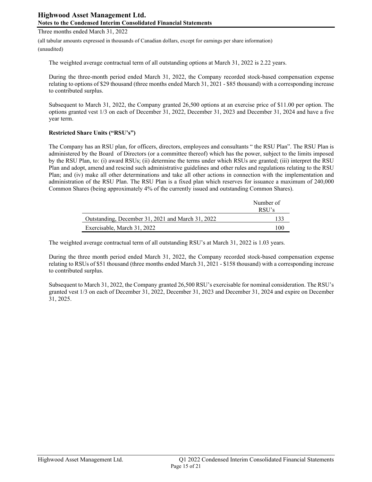Three months ended March 31, 2022

(all tabular amounts expressed in thousands of Canadian dollars, except for earnings per share information)

(unaudited)

The weighted average contractual term of all outstanding options at March 31, 2022 is 2.22 years.

During the three-month period ended March 31, 2022, the Company recorded stock-based compensation expense relating to options of \$29 thousand (three months ended March 31, 2021 - \$85 thousand) with a corresponding increase to contributed surplus.

Subsequent to March 31, 2022, the Company granted 26,500 options at an exercise price of \$11.00 per option. The options granted vest 1/3 on each of December 31, 2022, December 31, 2023 and December 31, 2024 and have a five year term.

## Restricted Share Units ("RSU's")

The Company has an RSU plan, for officers, directors, employees and consultants " the RSU Plan". The RSU Plan is administered by the Board of Directors (or a committee thereof) which has the power, subject to the limits imposed by the RSU Plan, to: (i) award RSUs; (ii) determine the terms under which RSUs are granted; (iii) interpret the RSU Plan and adopt, amend and rescind such administrative guidelines and other rules and regulations relating to the RSU Plan; and (iv) make all other determinations and take all other actions in connection with the implementation and administration of the RSU Plan. The RSU Plan is a fixed plan which reserves for issuance a maximum of 240,000 Common Shares (being approximately 4% of the currently issued and outstanding Common Shares).

|                                                   | Number of |
|---------------------------------------------------|-----------|
|                                                   | RSU's     |
| Outstanding, December 31, 2021 and March 31, 2022 |           |
| Exercisable, March 31, 2022                       | 100       |

The weighted average contractual term of all outstanding RSU's at March 31, 2022 is 1.03 years.

During the three month period ended March 31, 2022, the Company recorded stock-based compensation expense relating to RSUs of \$51 thousand (three months ended March 31, 2021 - \$158 thousand) with a corresponding increase to contributed surplus.

Subsequent to March 31, 2022, the Company granted 26,500 RSU's exercisable for nominal consideration. The RSU's granted vest 1/3 on each of December 31, 2022, December 31, 2023 and December 31, 2024 and expire on December 31, 2025.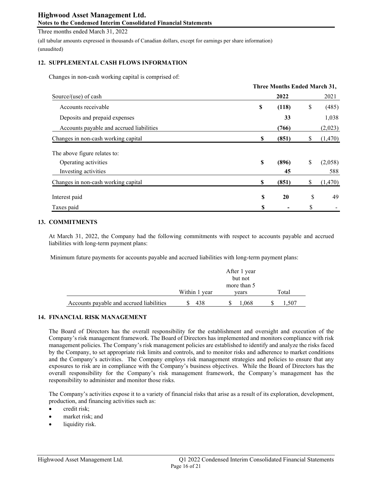Three months ended March 31, 2022

(all tabular amounts expressed in thousands of Canadian dollars, except for earnings per share information) (unaudited)

### 12. SUPPLEMENTAL CASH FLOWS INFORMATION

Changes in non-cash working capital is comprised of:

|                                          |    | <b>Three Months Ended March 31,</b> |    |         |
|------------------------------------------|----|-------------------------------------|----|---------|
| Source/(use) of cash                     |    | 2022                                |    | 2021    |
| Accounts receivable                      | \$ | (118)                               | \$ | (485)   |
| Deposits and prepaid expenses            |    | 33                                  |    | 1,038   |
| Accounts payable and accrued liabilities |    | (766)                               |    | (2,023) |
| Changes in non-cash working capital      | S  | (851)                               | S  | (1,470) |
| The above figure relates to:             |    |                                     |    |         |
| Operating activities                     | \$ | (896)                               | \$ | (2,058) |
| Investing activities                     |    | 45                                  |    | 588     |
| Changes in non-cash working capital      | \$ | (851)                               | \$ | (1,470) |
| Interest paid                            | S  | 20                                  | \$ | 49      |
| Taxes paid                               | S  |                                     | \$ |         |

## 13. COMMITMENTS

At March 31, 2022, the Company had the following commitments with respect to accounts payable and accrued liabilities with long-term payment plans:

Minimum future payments for accounts payable and accrued liabilities with long-term payment plans:

|                                          |               | After 1 year<br>but not<br>more than 5 |       |
|------------------------------------------|---------------|----------------------------------------|-------|
|                                          | Within 1 year | vears                                  | Total |
| Accounts payable and accrued liabilities | 438           | 1.068                                  | .,507 |

#### 14. FINANCIAL RISK MANAGEMENT

The Board of Directors has the overall responsibility for the establishment and oversight and execution of the Company's risk management framework. The Board of Directors has implemented and monitors compliance with risk management policies. The Company's risk management policies are established to identify and analyze the risks faced by the Company, to set appropriate risk limits and controls, and to monitor risks and adherence to market conditions and the Company's activities. The Company employs risk management strategies and policies to ensure that any exposures to risk are in compliance with the Company's business objectives. While the Board of Directors has the overall responsibility for the Company's risk management framework, the Company's management has the responsibility to administer and monitor those risks.

The Company's activities expose it to a variety of financial risks that arise as a result of its exploration, development, production, and financing activities such as:

- credit risk;
- market risk; and
- liquidity risk.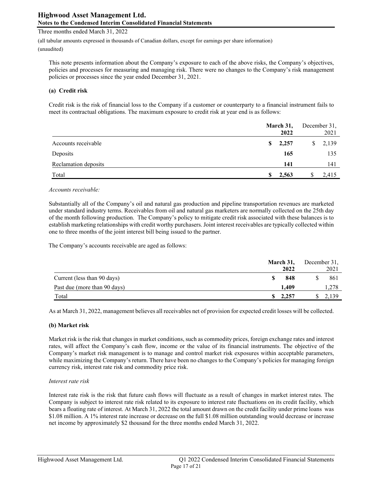Three months ended March 31, 2022

(all tabular amounts expressed in thousands of Canadian dollars, except for earnings per share information)

(unaudited)

This note presents information about the Company's exposure to each of the above risks, the Company's objectives, policies and processes for measuring and managing risk. There were no changes to the Company's risk management policies or processes since the year ended December 31, 2021.

## (a) Credit risk

Credit risk is the risk of financial loss to the Company if a customer or counterparty to a financial instrument fails to meet its contractual obligations. The maximum exposure to credit risk at year end is as follows:

|                      |    | March 31, | December 31, |       |  |
|----------------------|----|-----------|--------------|-------|--|
|                      |    | 2022      |              | 2021  |  |
| Accounts receivable  | S. | 2,257     | S.           | 2,139 |  |
| Deposits             |    | 165       |              | 135   |  |
| Reclamation deposits |    | 141       |              | 141   |  |
| Total                |    | 2,563     |              | 2,415 |  |

#### *Accounts receivable:*

Substantially all of the Company's oil and natural gas production and pipeline transportation revenues are marketed under standard industry terms. Receivables from oil and natural gas marketers are normally collected on the 25th day of the month following production. The Company's policy to mitigate credit risk associated with these balances is to establish marketing relationships with credit worthy purchasers. Joint interest receivables are typically collected within one to three months of the joint interest bill being issued to the partner.

The Company's accounts receivable are aged as follows:

|                              |     | March 31, |  | December 31, |  |
|------------------------------|-----|-----------|--|--------------|--|
|                              |     | 2022      |  | 2021         |  |
| Current (less than 90 days)  |     | 848       |  | 861          |  |
| Past due (more than 90 days) |     | 1.409     |  | 1,278        |  |
| Total                        | SS. | 2,257     |  | 2,139        |  |

As at March 31, 2022, management believes all receivables net of provision for expected credit losses will be collected.

#### (b) Market risk

Market risk is the risk that changes in market conditions, such as commodity prices, foreign exchange rates and interest rates, will affect the Company's cash flow, income or the value of its financial instruments. The objective of the Company's market risk management is to manage and control market risk exposures within acceptable parameters, while maximizing the Company's return. There have been no changes to the Company's policies for managing foreign currency risk, interest rate risk and commodity price risk.

#### *Interest rate risk*

Interest rate risk is the risk that future cash flows will fluctuate as a result of changes in market interest rates. The Company is subject to interest rate risk related to its exposure to interest rate fluctuations on its credit facility, which bears a floating rate of interest. At March 31, 2022 the total amount drawn on the credit facility under prime loans was \$1.08 million. A 1% interest rate increase or decrease on the full \$1.08 million outstanding would decrease or increase net income by approximately \$2 thousand for the three months ended March 31, 2022.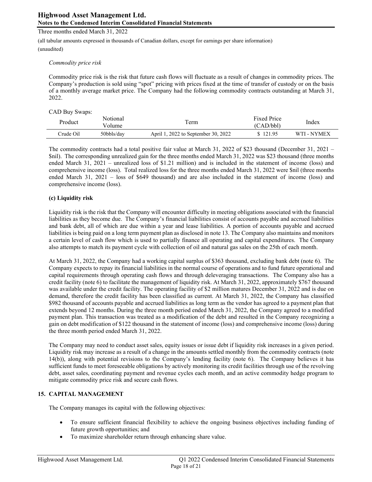(all tabular amounts expressed in thousands of Canadian dollars, except for earnings per share information)

(unaudited)

### *Commodity price risk*

Commodity price risk is the risk that future cash flows will fluctuate as a result of changes in commodity prices. The Company's production is sold using "spot" pricing with prices fixed at the time of transfer of custody or on the basis of a monthly average market price. The Company had the following commodity contracts outstanding at March 31, 2022.

### CAD Buy Swaps:

| Product   | Notional<br>Volume | l`erm                               | <b>Fixed Price</b><br>(CAD/bbl) | Index       |
|-----------|--------------------|-------------------------------------|---------------------------------|-------------|
| Crude Oil | 50bbls/day         | April 1, 2022 to September 30, 2022 | \$121.95                        | WTI - NYMEX |

The commodity contracts had a total positive fair value at March 31, 2022 of \$23 thousand (December 31, 2021 – \$nil). The corresponding unrealized gain for the three months ended March 31, 2022 was \$23 thousand (three months ended March 31, 2021 – unrealized loss of \$1.21 million) and is included in the statement of income (loss) and comprehensive income (loss). Total realized loss for the three months ended March 31, 2022 were \$nil (three months ended March 31, 2021 – loss of \$649 thousand) and are also included in the statement of income (loss) and comprehensive income (loss).

## (c) Liquidity risk

Liquidity risk is the risk that the Company will encounter difficulty in meeting obligations associated with the financial liabilities as they become due. The Company's financial liabilities consist of accounts payable and accrued liabilities and bank debt, all of which are due within a year and lease liabilities. A portion of accounts payable and accrued liabilities is being paid on a long term payment plan as disclosed in note 13. The Company also maintains and monitors a certain level of cash flow which is used to partially finance all operating and capital expenditures. The Company also attempts to match its payment cycle with collection of oil and natural gas sales on the 25th of each month.

At March 31, 2022, the Company had a working capital surplus of \$363 thousand, excluding bank debt (note 6). The Company expects to repay its financial liabilities in the normal course of operations and to fund future operational and capital requirements through operating cash flows and through deleveraging transactions. The Company also has a credit facility (note 6) to facilitate the management of liquidity risk. At March 31, 2022, approximately \$767 thousand was available under the credit facility. The operating facility of \$2 million matures December 31, 2022 and is due on demand, therefore the credit facility has been classified as current. At March 31, 2022, the Company has classified \$982 thousand of accounts payable and accrued liabilities as long term as the vendor has agreed to a payment plan that extends beyond 12 months. During the three month period ended March 31, 2022, the Company agreed to a modified payment plan. This transaction was treated as a modification of the debt and resulted in the Company recognizing a gain on debt modification of \$122 thousand in the statement of income (loss) and comprehensive income (loss) during the three month period ended March 31, 2022.

The Company may need to conduct asset sales, equity issues or issue debt if liquidity risk increases in a given period. Liquidity risk may increase as a result of a change in the amounts settled monthly from the commodity contracts (note 14(b)), along with potential revisions to the Company's lending facility (note 6). The Company believes it has sufficient funds to meet foreseeable obligations by actively monitoring its credit facilities through use of the revolving debt, asset sales, coordinating payment and revenue cycles each month, and an active commodity hedge program to mitigate commodity price risk and secure cash flows.

#### 15. CAPITAL MANAGEMENT

The Company manages its capital with the following objectives:

- To ensure sufficient financial flexibility to achieve the ongoing business objectives including funding of future growth opportunities; and
- To maximize shareholder return through enhancing share value.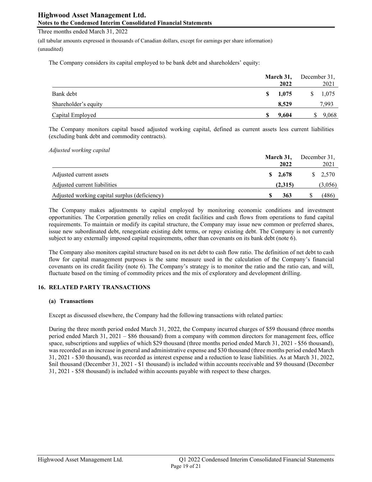Three months ended March 31, 2022

(all tabular amounts expressed in thousands of Canadian dollars, except for earnings per share information) (unaudited)

The Company considers its capital employed to be bank debt and shareholders' equity:

|                      |    | March 31,<br>2022 | December 31,<br>2021 |
|----------------------|----|-------------------|----------------------|
| Bank debt            | S. | 1,075             | 1,075                |
| Shareholder's equity |    | 8,529             | 7,993                |
| Capital Employed     | S  | 9.604             | 9,068                |

The Company monitors capital based adjusted working capital, defined as current assets less current liabilities (excluding bank debt and commodity contracts).

*Adjusted working capital*

|                                               | March 31,<br>2022 | December 31.<br>2021 |
|-----------------------------------------------|-------------------|----------------------|
| Adjusted current assets                       | \$2,678           | $\frac{\$}{2,570}$   |
| Adjusted current liabilities                  | (2,315)           | (3,056)              |
| Adjusted working capital surplus (deficiency) | 363               | (486)                |

The Company makes adjustments to capital employed by monitoring economic conditions and investment opportunities. The Corporation generally relies on credit facilities and cash flows from operations to fund capital requirements. To maintain or modify its capital structure, the Company may issue new common or preferred shares, issue new subordinated debt, renegotiate existing debt terms, or repay existing debt. The Company is not currently subject to any externally imposed capital requirements, other than covenants on its bank debt (note 6).

The Company also monitors capital structure based on its net debt to cash flow ratio. The definition of net debt to cash flow for capital management purposes is the same measure used in the calculation of the Company's financial covenants on its credit facility (note 6). The Company's strategy is to monitor the ratio and the ratio can, and will, fluctuate based on the timing of commodity prices and the mix of exploratory and development drilling.

## 16. RELATED PARTY TRANSACTIONS

#### (a) Transactions

Except as discussed elsewhere, the Company had the following transactions with related parties:

During the three month period ended March 31, 2022, the Company incurred charges of \$59 thousand (three months period ended March 31, 2021 – \$86 thousand) from a company with common directors for management fees, office space, subscriptions and supplies of which \$29 thousand (three months period ended March 31, 2021 - \$56 thousand), was recorded as an increase in general and administrative expense and \$30 thousand (three months period ended March 31, 2021 - \$30 thousand), was recorded as interest expense and a reduction to lease liabilities. As at March 31, 2022, \$nil thousand (December 31, 2021 - \$1 thousand) is included within accounts receivable and \$9 thousand (December 31, 2021 - \$58 thousand) is included within accounts payable with respect to these charges.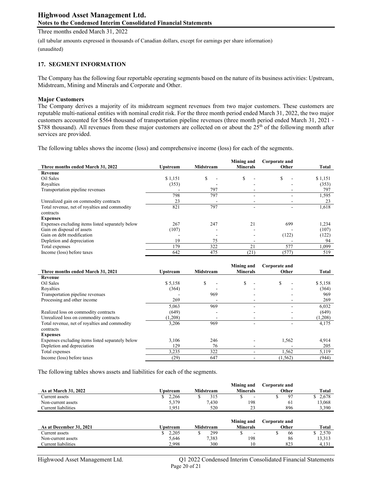Three months ended March 31, 2022

(all tabular amounts expressed in thousands of Canadian dollars, except for earnings per share information)

# (unaudited)

## 17. SEGMENT INFORMATION

The Company has the following four reportable operating segments based on the nature of its business activities: Upstream, Midstream, Mining and Minerals and Corporate and Other.

### Major Customers

The Company derives a majority of its midstream segment revenues from two major customers. These customers are reputable multi-national entities with nominal credit risk. For the three month period ended March 31, 2022, the two major customers accounted for \$564 thousand of transportation pipeline revenues (three month period ended March 31, 2021 - \$788 thousand). All revenues from these major customers are collected on or about the 25<sup>th</sup> of the following month after services are provided.

The following tables shows the income (loss) and comprehensive income (loss) for each of the segments.

| Three months ended March 31, 2022                | <b>Upstream</b> | <b>Midstream</b> | Mining and<br><b>Minerals</b> | Corporate and<br>Other | Total   |
|--------------------------------------------------|-----------------|------------------|-------------------------------|------------------------|---------|
| Revenue                                          |                 |                  |                               |                        |         |
| Oil Sales                                        | \$1,151         | S                | \$                            | S                      | \$1,151 |
| Royalties                                        | (353)           |                  |                               |                        | (353)   |
| Transportation pipeline revenues                 |                 | 797              |                               |                        | 797     |
|                                                  | 798             | 797              |                               |                        | 1,595   |
| Unrealized gain on commodity contracts           | 23              |                  |                               |                        | 23      |
| Total revenue, net of royalties and commodity    | 821             | 797              | ۰                             |                        | 1,618   |
| contracts                                        |                 |                  |                               |                        |         |
| <b>Expenses</b>                                  |                 |                  |                               |                        |         |
| Expenses excluding items listed separately below | 267             | 247              | 21                            | 699                    | 1,234   |
| Gain on disposal of assets                       | (107)           |                  |                               |                        | (107)   |
| Gain on debt modification                        |                 |                  |                               | (122)                  | (122)   |
| Depletion and depreciation                       | 19              | 75               |                               |                        | 94      |
| Total expenses                                   | 179             | 322              | 21                            | 577                    | 1,099   |
| Income (loss) before taxes                       | 642             | 475              | (21)                          | (577)                  | 519     |

|                                                  |                 |                  | Mining and      | Corporate and |              |
|--------------------------------------------------|-----------------|------------------|-----------------|---------------|--------------|
| Three months ended March 31, 2021                | <b>Upstream</b> | <b>Midstream</b> | <b>Minerals</b> | Other         | <b>Total</b> |
| Revenue                                          |                 |                  |                 |               |              |
| Oil Sales                                        | \$5,158         | S                | \$<br>٠         | \$            | \$5,158      |
| Royalties                                        | (364)           |                  |                 |               | (364)        |
| Transportation pipeline revenues                 |                 | 969              | -               |               | 969          |
| Processing and other income                      | 269             |                  |                 |               | 269          |
|                                                  | 5,063           | 969              |                 |               | 6,032        |
| Realized loss on commodity contracts             | (649)           | -                |                 |               | (649)        |
| Unrealized loss on commodity contracts           | (1,208)         |                  |                 |               | (1,208)      |
| Total revenue, net of royalties and commodity    | 3,206           | 969              | ۰               |               | 4,175        |
| contracts                                        |                 |                  |                 |               |              |
| <b>Expenses</b>                                  |                 |                  |                 |               |              |
| Expenses excluding items listed separately below | 3.106           | 246              |                 | 1,562         | 4,914        |
| Depletion and depreciation                       | 129             | 76               |                 |               | 205          |
| Total expenses                                   | 3,235           | 322              |                 | 1,562         | 5,119        |
| Income (loss) before taxes                       | (29)            | 647              |                 | (1, 562)      | (944)        |

The following tables shows assets and liabilities for each of the segments.

| <b>As at March 31, 2022</b> | Upstream | Midstream | Mining and<br><b>Minerals</b> | Corporate and<br>Other | Total  |
|-----------------------------|----------|-----------|-------------------------------|------------------------|--------|
| Current assets              | 2.266    | 315       |                               | Q <sub>7</sub>         | 2,678  |
| Non-current assets          | 5,379    | 7,430     | 198                           | 01                     | 13.068 |
| Current liabilities         | 1.951    | 520       | 23                            | 896                    | 3,390  |

| As at December 31, 2021 | Upstream | <b>Midstream</b> | Mining and<br><b>Minerals</b> | Corporate and<br>Other | Total  |
|-------------------------|----------|------------------|-------------------------------|------------------------|--------|
| Current assets          | 2.205    | 299              | $\overline{\phantom{0}}$      | 00                     | 2,570  |
| Non-current assets      | 5,646    | 7,383            | 198                           | 86                     | 13,313 |
| Current liabilities     | 2.998    | 300              | 10                            | 823                    | 4.131  |

Highwood Asset Management Ltd. Q1 2022 Condensed Interim Consolidated Financial Statements Page 20 of 21